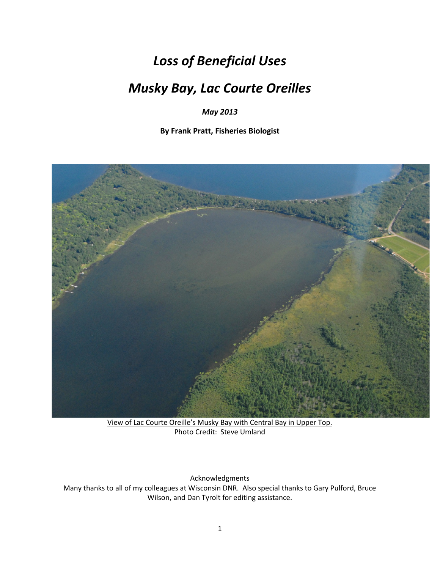# *Loss of Beneficial Uses*

# *Musky Bay, Lac Courte Oreilles*

*May 2013*

**By Frank Pratt, Fisheries Biologist**



View of Lac Courte Oreille's Musky Bay with Central Bay in Upper Top. Photo Credit: Steve Umland

Acknowledgments Many thanks to all of my colleagues at Wisconsin DNR. Also special thanks to Gary Pulford, Bruce Wilson, and Dan Tyrolt for editing assistance.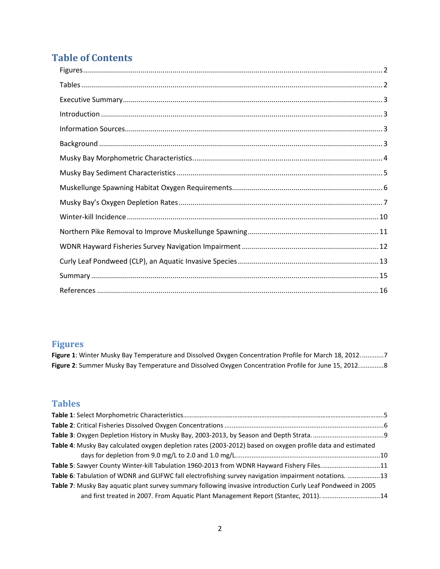## **Table of Contents**

#### <span id="page-1-0"></span>**Figures**

**Figure 1**: Winter Musky [Bay Temperature and Dissolved Oxygen Concentration Profile for March 18, 2012.............7](#page-6-1) **Figure 2**[: Summer Musky Bay Temperature and Dissolved Oxygen Concentration Profile for June 15, 2012..............8](#page-7-0)

## <span id="page-1-1"></span>**Tables**

| Table 4: Musky Bay calculated oxygen depletion rates (2003-2012) based on oxygen profile data and estimated |  |
|-------------------------------------------------------------------------------------------------------------|--|
|                                                                                                             |  |
| Table 5: Sawyer County Winter-kill Tabulation 1960-2013 from WDNR Hayward Fishery Files11                   |  |
| Table 6: Tabulation of WDNR and GLIFWC fall electrofishing survey navigation impairment notations. 13       |  |
| Table 7: Musky Bay aquatic plant survey summary following invasive introduction Curly Leaf Pondweed in 2005 |  |
| and first treated in 2007. From Aquatic Plant Management Report (Stantec, 2011). 14                         |  |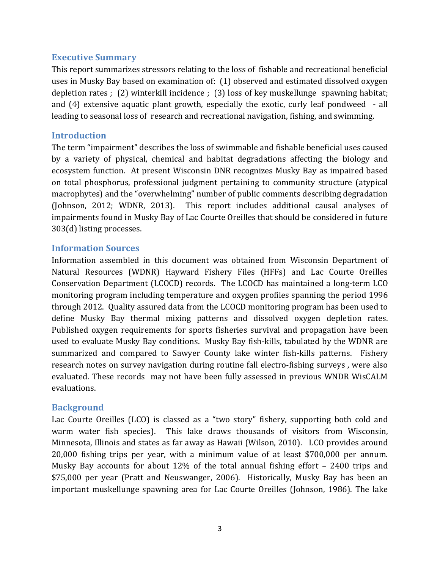## <span id="page-2-0"></span>**Executive Summary**

This report summarizes stressors relating to the loss of fishable and recreational beneficial uses in Musky Bay based on examination of: (1) observed and estimated dissolved oxygen depletion rates ; (2) winterkill incidence ; (3) loss of key muskellunge spawning habitat; and (4) extensive aquatic plant growth, especially the exotic, curly leaf pondweed - all leading to seasonal loss of research and recreational navigation, fishing, and swimming.

## <span id="page-2-1"></span>**Introduction**

The term "impairment" describes the loss of swimmable and fishable beneficial uses caused by a variety of physical, chemical and habitat degradations affecting the biology and ecosystem function. At present Wisconsin DNR recognizes Musky Bay as impaired based on total phosphorus, professional judgment pertaining to community structure (atypical macrophytes) and the "overwhelming" number of public comments describing degradation (Johnson, 2012; WDNR, 2013). This report includes additional causal analyses of impairments found in Musky Bay of Lac Courte Oreilles that should be considered in future 303(d) listing processes.

#### <span id="page-2-2"></span>**Information Sources**

Information assembled in this document was obtained from Wisconsin Department of Natural Resources (WDNR) Hayward Fishery Files (HFFs) and Lac Courte Oreilles Conservation Department (LCOCD) records. The LCOCD has maintained a long-term LCO monitoring program including temperature and oxygen profiles spanning the period 1996 through 2012. Quality assured data from the LCOCD monitoring program has been used to define Musky Bay thermal mixing patterns and dissolved oxygen depletion rates. Published oxygen requirements for sports fisheries survival and propagation have been used to evaluate Musky Bay conditions. Musky Bay fish-kills, tabulated by the WDNR are summarized and compared to Sawyer County lake winter fish-kills patterns. Fishery research notes on survey navigation during routine fall electro-fishing surveys , were also evaluated. These records may not have been fully assessed in previous WNDR WisCALM evaluations.

#### <span id="page-2-3"></span>**Background**

Lac Courte Oreilles (LCO) is classed as a "two story" fishery, supporting both cold and warm water fish species). This lake draws thousands of visitors from Wisconsin, Minnesota, Illinois and states as far away as Hawaii (Wilson, 2010). LCO provides around 20,000 fishing trips per year, with a minimum value of at least \$700,000 per annum. Musky Bay accounts for about 12% of the total annual fishing effort – 2400 trips and \$75,000 per year (Pratt and Neuswanger, 2006). Historically, Musky Bay has been an important muskellunge spawning area for Lac Courte Oreilles (Johnson, 1986). The lake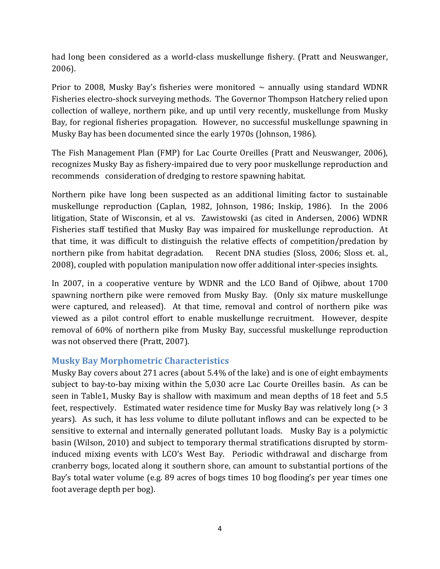had long been considered as a world-class muskellunge fishery. (Pratt and Neuswanger, 2006).

Prior to 2008, Musky Bay's fisheries were monitored  $\sim$  annually using standard WDNR Fisheries electro-shock surveying methods. The Governor Thompson Hatchery relied upon collection of walleye, northern pike, and up until very recently, muskellunge from Musky Bay, for regional fisheries propagation. However, no successful muskellunge spawning in Musky Bay has been documented since the early 1970s (Johnson, 1986).

The Fish Management Plan (FMP) for Lac Courte Oreilles (Pratt and Neuswanger, 2006), recognizes Musky Bay as fishery-impaired due to very poor muskellunge reproduction and recommends consideration of dredging to restore spawning habitat.

Northern pike have long been suspected as an additional limiting factor to sustainable muskellunge reproduction (Caplan, 1982, Johnson, 1986; Inskip, 1986). In the 2006 litigation, State of Wisconsin, et al vs. Zawistowski (as cited in Andersen, 2006) WDNR Fisheries staff testified that Musky Bay was impaired for muskellunge reproduction. At that time, it was difficult to distinguish the relative effects of competition/predation by northern pike from habitat degradation. Recent DNA studies (Sloss, 2006; Sloss et. al., 2008), coupled with population manipulation now offer additional inter-species insights.

In 2007, in a cooperative venture by WDNR and the LCO Band of Ojibwe, about 1700 spawning northern pike were removed from Musky Bay. (Only six mature muskellunge were captured, and released). At that time, removal and control of northern pike was viewed as a pilot control effort to enable muskellunge recruitment. However, despite removal of 60% of northern pike from Musky Bay, successful muskellunge reproduction was not observed there (Pratt, 2007).

## <span id="page-3-0"></span>**Musky Bay Morphometric Characteristics**

Musky Bay covers about 271 acres (about 5.4% of the lake) and is one of eight embayments subject to bay-to-bay mixing within the 5,030 acre Lac Courte Oreilles basin. As can be seen in Table1, Musky Bay is shallow with maximum and mean depths of 18 feet and 5.5 feet, respectively. Estimated water residence time for Musky Bay was relatively long (> 3 years). As such, it has less volume to dilute pollutant inflows and can be expected to be sensitive to external and internally generated pollutant loads. Musky Bay is a polymictic basin (Wilson, 2010) and subject to temporary thermal stratifications disrupted by storminduced mixing events with LCO's West Bay. Periodic withdrawal and discharge from cranberry bogs, located along it southern shore, can amount to substantial portions of the Bay's total water volume (e.g. 89 acres of bogs times 10 bog flooding's per year times one foot average depth per bog).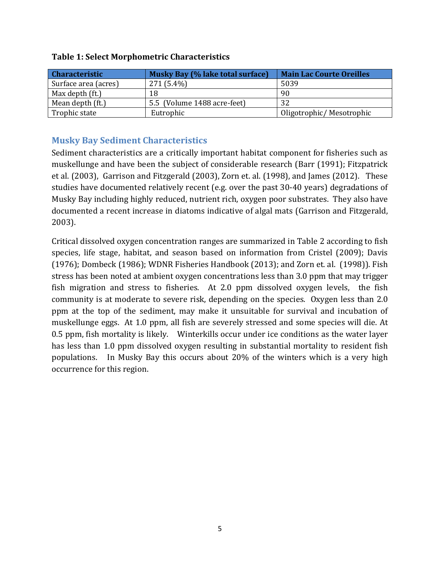| <b>Characteristic</b> | Musky Bay (% lake total surface) | <b>Main Lac Courte Oreilles</b> |
|-----------------------|----------------------------------|---------------------------------|
| Surface area (acres)  | 271 (5.4%)                       | 5039                            |
| Max depth (ft.)       | 18                               | 90                              |
| Mean depth (ft.)      | 5.5 (Volume 1488 acre-feet)      | 32                              |
| Trophic state         | Eutrophic                        | Oligotrophic/Mesotrophic        |

#### **Table 1: Select Morphometric Characteristics**

## <span id="page-4-0"></span>**Musky Bay Sediment Characteristics**

Sediment characteristics are a critically important habitat component for fisheries such as muskellunge and have been the subject of considerable research (Barr (1991); Fitzpatrick et al. (2003), Garrison and Fitzgerald (2003), Zorn et. al. (1998), and James (2012). These studies have documented relatively recent (e.g. over the past 30-40 years) degradations of Musky Bay including highly reduced, nutrient rich, oxygen poor substrates. They also have documented a recent increase in diatoms indicative of algal mats (Garrison and Fitzgerald, 2003).

Critical dissolved oxygen concentration ranges are summarized in Table 2 according to fish species, life stage, habitat, and season based on information from Cristel (2009); Davis (1976); Dombeck (1986); WDNR Fisheries Handbook (2013); and Zorn et. al. (1998)). Fish stress has been noted at ambient oxygen concentrations less than 3.0 ppm that may trigger fish migration and stress to fisheries. At 2.0 ppm dissolved oxygen levels, the fish community is at moderate to severe risk, depending on the species. Oxygen less than 2.0 ppm at the top of the sediment, may make it unsuitable for survival and incubation of muskellunge eggs. At 1.0 ppm, all fish are severely stressed and some species will die. At 0.5 ppm, fish mortality is likely. Winterkills occur under ice conditions as the water layer has less than 1.0 ppm dissolved oxygen resulting in substantial mortality to resident fish populations. In Musky Bay this occurs about 20% of the winters which is a very high occurrence for this region.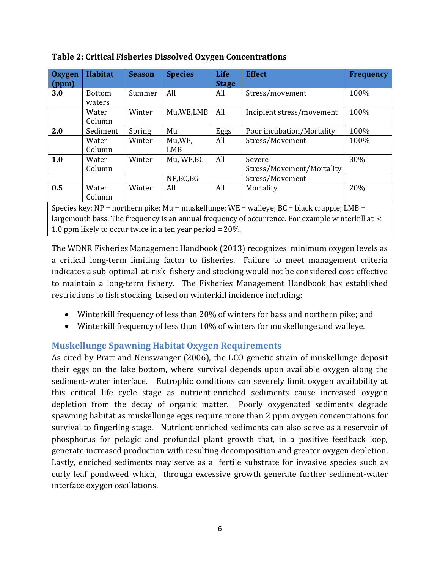| Oxygen                                                                                                | <b>Habitat</b> | <b>Season</b> | <b>Species</b> | <b>Life</b>  | <b>Effect</b>             | <b>Frequency</b> |
|-------------------------------------------------------------------------------------------------------|----------------|---------------|----------------|--------------|---------------------------|------------------|
| $\sqrt{ppm}$                                                                                          |                |               |                | <b>Stage</b> |                           |                  |
| 3.0                                                                                                   | <b>Bottom</b>  | Summer        | All            | All          | Stress/movement           | 100%             |
|                                                                                                       | waters         |               |                |              |                           |                  |
|                                                                                                       | Water          | Winter        | Mu, WE, LMB    | All          | Incipient stress/movement | 100%             |
|                                                                                                       | Column         |               |                |              |                           |                  |
| 2.0                                                                                                   | Sediment       | Spring        | Mu             | Eggs         | Poor incubation/Mortality | 100%             |
|                                                                                                       | Water          | Winter        | Mu,WE,         | All          | Stress/Movement           | 100%             |
|                                                                                                       | Column         |               | <b>LMB</b>     |              |                           |                  |
| 1.0                                                                                                   | Water          | Winter        | Mu, WE, BC     | All          | Severe                    | 30%              |
|                                                                                                       | Column         |               |                |              | Stress/Movement/Mortality |                  |
|                                                                                                       |                |               | NP,BC,BG       |              | Stress/Movement           |                  |
| 0.5                                                                                                   | Water          | Winter        | All            | All          | Mortality                 | 20%              |
|                                                                                                       | Column         |               |                |              |                           |                  |
| Species key: $NP = northern$ pike; $Mu = muskelling$ ; $WE = w$ alleye; $BC = black$ crappie; $LMB =$ |                |               |                |              |                           |                  |
| largemouth bass. The frequency is an annual frequency of occurrence. For example winterkill at <      |                |               |                |              |                           |                  |
| 1.0 ppm likely to occur twice in a ten year period = $20\%$ .                                         |                |               |                |              |                           |                  |

<span id="page-5-1"></span>**Table 2: Critical Fisheries Dissolved Oxygen Concentrations**

The WDNR Fisheries Management Handbook (2013) recognizes minimum oxygen levels as a critical long-term limiting factor to fisheries. Failure to meet management criteria indicates a sub-optimal at-risk fishery and stocking would not be considered cost-effective to maintain a long-term fishery. The Fisheries Management Handbook has established restrictions to fish stocking based on winterkill incidence including:

- Winterkill frequency of less than 20% of winters for bass and northern pike; and
- Winterkill frequency of less than 10% of winters for muskellunge and walleye.

## <span id="page-5-0"></span>**Muskellunge Spawning Habitat Oxygen Requirements**

As cited by Pratt and Neuswanger (2006), the LCO genetic strain of muskellunge deposit their eggs on the lake bottom, where survival depends upon available oxygen along the sediment-water interface. Eutrophic conditions can severely limit oxygen availability at this critical life cycle stage as nutrient-enriched sediments cause increased oxygen depletion from the decay of organic matter. Poorly oxygenated sediments degrade spawning habitat as muskellunge eggs require more than 2 ppm oxygen concentrations for survival to fingerling stage. Nutrient-enriched sediments can also serve as a reservoir of phosphorus for pelagic and profundal plant growth that, in a positive feedback loop, generate increased production with resulting decomposition and greater oxygen depletion. Lastly, enriched sediments may serve as a fertile substrate for invasive species such as curly leaf pondweed which, through excessive growth generate further sediment-water interface oxygen oscillations.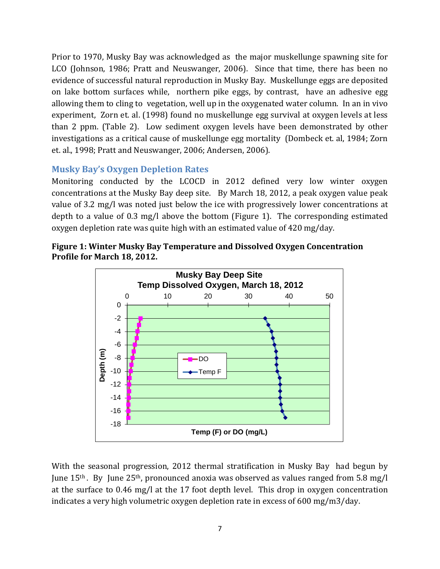Prior to 1970, Musky Bay was acknowledged as the major muskellunge spawning site for LCO (Johnson, 1986; Pratt and Neuswanger, 2006). Since that time, there has been no evidence of successful natural reproduction in Musky Bay. Muskellunge eggs are deposited on lake bottom surfaces while, northern pike eggs, by contrast, have an adhesive egg allowing them to cling to vegetation, well up in the oxygenated water column. In an in vivo experiment, Zorn et. al. (1998) found no muskellunge egg survival at oxygen levels at less than 2 ppm. (Table 2). Low sediment oxygen levels have been demonstrated by other investigations as a critical cause of muskellunge egg mortality (Dombeck et. al, 1984; Zorn et. al., 1998; Pratt and Neuswanger, 2006; Andersen, 2006).

## <span id="page-6-0"></span>**Musky Bay's Oxygen Depletion Rates**

Monitoring conducted by the LCOCD in 2012 defined very low winter oxygen concentrations at the Musky Bay deep site. By March 18, 2012, a peak oxygen value peak value of 3.2 mg/l was noted just below the ice with progressively lower concentrations at depth to a value of 0.3 mg/l above the bottom (Figure 1). The corresponding estimated oxygen depletion rate was quite high with an estimated value of 420 mg/day.

<span id="page-6-1"></span>



With the seasonal progression, 2012 thermal stratification in Musky Bay had begun by June  $15<sup>th</sup>$ . By June  $25<sup>th</sup>$ , pronounced anoxia was observed as values ranged from 5.8 mg/l at the surface to 0.46 mg/l at the 17 foot depth level. This drop in oxygen concentration indicates a very high volumetric oxygen depletion rate in excess of 600 mg/m3/day.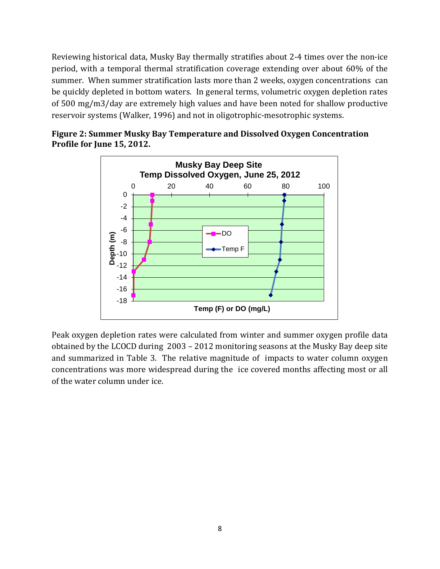Reviewing historical data, Musky Bay thermally stratifies about 2-4 times over the non-ice period, with a temporal thermal stratification coverage extending over about 60% of the summer. When summer stratification lasts more than 2 weeks, oxygen concentrations can be quickly depleted in bottom waters. In general terms, volumetric oxygen depletion rates of 500 mg/m3/day are extremely high values and have been noted for shallow productive reservoir systems (Walker, 1996) and not in oligotrophic-mesotrophic systems.

<span id="page-7-0"></span>



Peak oxygen depletion rates were calculated from winter and summer oxygen profile data obtained by the LCOCD during 2003 – 2012 monitoring seasons at the Musky Bay deep site and summarized in Table 3. The relative magnitude of impacts to water column oxygen concentrations was more widespread during the ice covered months affecting most or all of the water column under ice.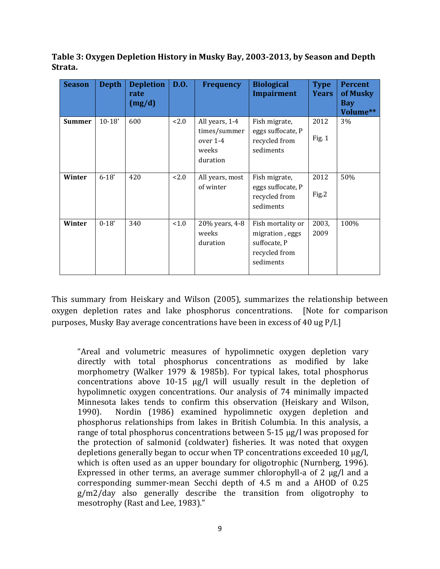<span id="page-8-0"></span>**Table 3: Oxygen Depletion History in Musky Bay, 2003-2013, by Season and Depth Strata.**

| <b>Season</b> | <b>Depth</b> | <b>Depletion</b><br>rate<br>(mg/d) | <b>D.O.</b> | <b>Frequency</b>                                                | <b>Biological</b><br><b>Impairment</b>                                             | <b>Type</b><br><b>Years</b> | <b>Percent</b><br>of Musky<br><b>Bay</b><br>Volume** |
|---------------|--------------|------------------------------------|-------------|-----------------------------------------------------------------|------------------------------------------------------------------------------------|-----------------------------|------------------------------------------------------|
| <b>Summer</b> | $10-18'$     | 600                                | 2.0         | All years, 1-4<br>times/summer<br>over 1-4<br>weeks<br>duration | Fish migrate,<br>eggs suffocate, P<br>recycled from<br>sediments                   | 2012<br>Fig. 1              | 3%                                                   |
| Winter        | $6 - 18'$    | 420                                | 2.0         | All years, most<br>of winter                                    | Fish migrate,<br>eggs suffocate, P<br>recycled from<br>sediments                   | 2012<br>Fig.2               | 50%                                                  |
| Winter        | $0 - 18'$    | 340                                | < 1.0       | 20% years, 4-8<br>weeks<br>duration                             | Fish mortality or<br>migration, eggs<br>suffocate, P<br>recycled from<br>sediments | 2003,<br>2009               | 100%                                                 |

This summary from Heiskary and Wilson (2005), summarizes the relationship between oxygen depletion rates and lake phosphorus concentrations. [Note for comparison purposes, Musky Bay average concentrations have been in excess of 40 ug P/l.]

"Areal and volumetric measures of hypolimnetic oxygen depletion vary directly with total phosphorus concentrations as modified by lake morphometry (Walker 1979 & 1985b). For typical lakes, total phosphorus concentrations above 10-15 μg/l will usually result in the depletion of hypolimnetic oxygen concentrations. Our analysis of 74 minimally impacted Minnesota lakes tends to confirm this observation (Heiskary and Wilson, 1990). Nordin (1986) examined hypolimnetic oxygen depletion and 1990). Nordin (1986) examined hypolimnetic oxygen depletion and phosphorus relationships from lakes in British Columbia. In this analysis, a range of total phosphorus concentrations between 5-15 μg/l was proposed for the protection of salmonid (coldwater) fisheries. It was noted that oxygen depletions generally began to occur when TP concentrations exceeded 10 μg/l, which is often used as an upper boundary for oligotrophic (Nurnberg, 1996). Expressed in other terms, an average summer chlorophyll-a of 2 μg/l and a corresponding summer-mean Secchi depth of 4.5 m and a AHOD of 0.25 g/m2/day also generally describe the transition from oligotrophy to mesotrophy (Rast and Lee, 1983)."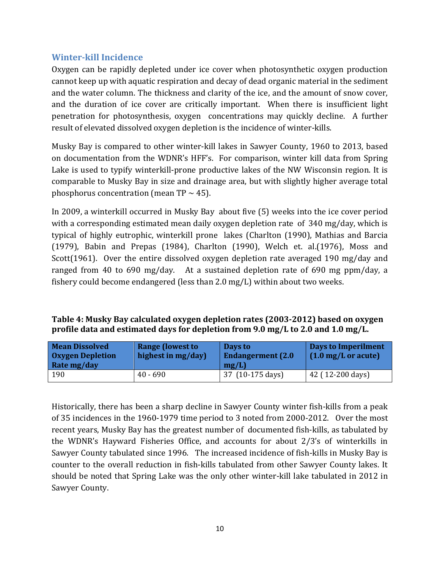## <span id="page-9-0"></span>**Winter-kill Incidence**

Oxygen can be rapidly depleted under ice cover when photosynthetic oxygen production cannot keep up with aquatic respiration and decay of dead organic material in the sediment and the water column. The thickness and clarity of the ice, and the amount of snow cover, and the duration of ice cover are critically important. When there is insufficient light penetration for photosynthesis, oxygen concentrations may quickly decline. A further result of elevated dissolved oxygen depletion is the incidence of winter-kills.

Musky Bay is compared to other winter-kill lakes in Sawyer County, 1960 to 2013, based on documentation from the WDNR's HFF's. For comparison, winter kill data from Spring Lake is used to typify winterkill-prone productive lakes of the NW Wisconsin region. It is comparable to Musky Bay in size and drainage area, but with slightly higher average total phosphorus concentration (mean  $TP \sim 45$ ).

In 2009, a winterkill occurred in Musky Bay about five (5) weeks into the ice cover period with a corresponding estimated mean daily oxygen depletion rate of 340 mg/day, which is typical of highly eutrophic, winterkill prone lakes (Charlton (1990), Mathias and Barcia (1979), Babin and Prepas (1984), Charlton (1990), Welch et. al.(1976), Moss and Scott(1961). Over the entire dissolved oxygen depletion rate averaged 190 mg/day and ranged from 40 to 690 mg/day. At a sustained depletion rate of 690 mg ppm/day, a fishery could become endangered (less than 2.0 mg/L) within about two weeks.

<span id="page-9-1"></span>

| Table 4: Musky Bay calculated oxygen depletion rates (2003-2012) based on oxygen |  |
|----------------------------------------------------------------------------------|--|
| profile data and estimated days for depletion from 9.0 mg/L to 2.0 and 1.0 mg/L. |  |

| <b>Mean Dissolved</b><br><b>Oxygen Depletion</b><br>Rate mg/day | <b>Range (lowest to</b><br>highest in mg/day) | Days to<br><b>Endangerment</b> (2.0)<br>mg/L | Days to Imperilment<br>$(1.0 \text{ mg/L or acute})$ |
|-----------------------------------------------------------------|-----------------------------------------------|----------------------------------------------|------------------------------------------------------|
| 190                                                             | $40 - 690$                                    | 37 (10-175 days)                             | 42 (12-200 days)                                     |

Historically, there has been a sharp decline in Sawyer County winter fish-kills from a peak of 35 incidences in the 1960-1979 time period to 3 noted from 2000-2012. Over the most recent years, Musky Bay has the greatest number of documented fish-kills, as tabulated by the WDNR's Hayward Fisheries Office, and accounts for about 2/3's of winterkills in Sawyer County tabulated since 1996. The increased incidence of fish-kills in Musky Bay is counter to the overall reduction in fish-kills tabulated from other Sawyer County lakes. It should be noted that Spring Lake was the only other winter-kill lake tabulated in 2012 in Sawyer County.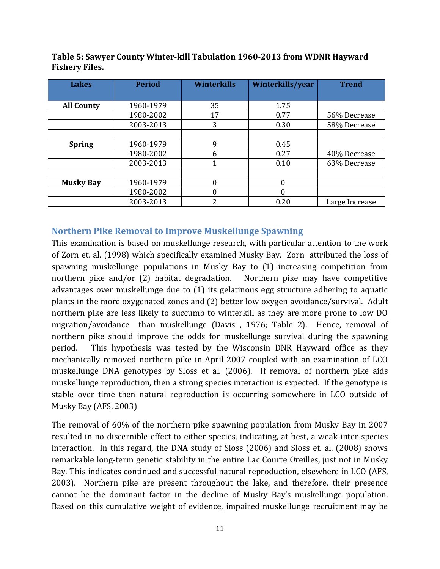| <b>Lakes</b>      | <b>Period</b> | <b>Winterkills</b> | Winterkills/year | <b>Trend</b>   |
|-------------------|---------------|--------------------|------------------|----------------|
|                   |               |                    |                  |                |
| <b>All County</b> | 1960-1979     | 35                 | 1.75             |                |
|                   | 1980-2002     | 17                 | 0.77             | 56% Decrease   |
|                   | 2003-2013     | 3                  | 0.30             | 58% Decrease   |
|                   |               |                    |                  |                |
| <b>Spring</b>     | 1960-1979     | 9                  | 0.45             |                |
|                   | 1980-2002     | <sub>6</sub>       | 0.27             | 40% Decrease   |
|                   | 2003-2013     |                    | 0.10             | 63% Decrease   |
|                   |               |                    |                  |                |
| <b>Musky Bay</b>  | 1960-1979     | 0                  | 0                |                |
|                   | 1980-2002     | 0                  | 0                |                |
|                   | 2003-2013     | າ                  | 0.20             | Large Increase |

<span id="page-10-1"></span>**Table 5: Sawyer County Winter-kill Tabulation 1960-2013 from WDNR Hayward Fishery Files.**

#### <span id="page-10-0"></span>**Northern Pike Removal to Improve Muskellunge Spawning**

This examination is based on muskellunge research, with particular attention to the work of Zorn et. al. (1998) which specifically examined Musky Bay. Zorn attributed the loss of spawning muskellunge populations in Musky Bay to (1) increasing competition from northern pike and/or (2) habitat degradation. Northern pike may have competitive advantages over muskellunge due to (1) its gelatinous egg structure adhering to aquatic plants in the more oxygenated zones and (2) better low oxygen avoidance/survival. Adult northern pike are less likely to succumb to winterkill as they are more prone to low DO migration/avoidance than muskellunge (Davis , 1976; Table 2). Hence, removal of northern pike should improve the odds for muskellunge survival during the spawning period. This hypothesis was tested by the Wisconsin DNR Hayward office as they mechanically removed northern pike in April 2007 coupled with an examination of LCO muskellunge DNA genotypes by Sloss et al. (2006). If removal of northern pike aids muskellunge reproduction, then a strong species interaction is expected. If the genotype is stable over time then natural reproduction is occurring somewhere in LCO outside of Musky Bay (AFS, 2003)

The removal of 60% of the northern pike spawning population from Musky Bay in 2007 resulted in no discernible effect to either species, indicating, at best, a weak inter-species interaction. In this regard, the DNA study of Sloss (2006) and Sloss et. al. (2008) shows remarkable long-term genetic stability in the entire Lac Courte Oreilles, just not in Musky Bay. This indicates continued and successful natural reproduction, elsewhere in LCO (AFS, 2003). Northern pike are present throughout the lake, and therefore, their presence cannot be the dominant factor in the decline of Musky Bay's muskellunge population. Based on this cumulative weight of evidence, impaired muskellunge recruitment may be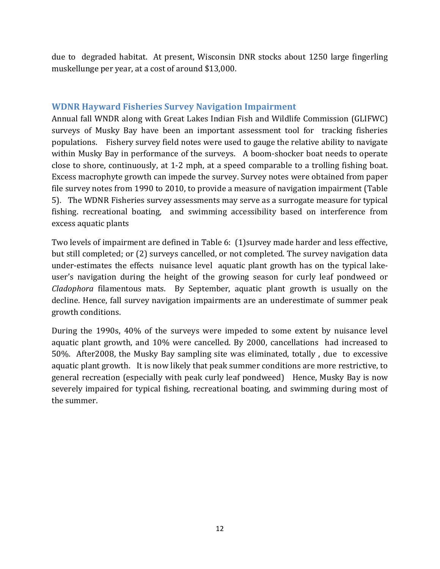due to degraded habitat. At present, Wisconsin DNR stocks about 1250 large fingerling muskellunge per year, at a cost of around \$13,000.

#### <span id="page-11-0"></span>**WDNR Hayward Fisheries Survey Navigation Impairment**

Annual fall WNDR along with Great Lakes Indian Fish and Wildlife Commission (GLIFWC) surveys of Musky Bay have been an important assessment tool for tracking fisheries populations. Fishery survey field notes were used to gauge the relative ability to navigate within Musky Bay in performance of the surveys. A boom-shocker boat needs to operate close to shore, continuously, at 1-2 mph, at a speed comparable to a trolling fishing boat. Excess macrophyte growth can impede the survey. Survey notes were obtained from paper file survey notes from 1990 to 2010, to provide a measure of navigation impairment (Table 5). The WDNR Fisheries survey assessments may serve as a surrogate measure for typical fishing. recreational boating, and swimming accessibility based on interference from excess aquatic plants

Two levels of impairment are defined in Table 6: (1)survey made harder and less effective, but still completed; or (2) surveys cancelled, or not completed. The survey navigation data under-estimates the effects nuisance level aquatic plant growth has on the typical lakeuser's navigation during the height of the growing season for curly leaf pondweed or *Cladophora* filamentous mats. By September, aquatic plant growth is usually on the decline. Hence, fall survey navigation impairments are an underestimate of summer peak growth conditions.

During the 1990s, 40% of the surveys were impeded to some extent by nuisance level aquatic plant growth, and 10% were cancelled. By 2000, cancellations had increased to 50%. After2008, the Musky Bay sampling site was eliminated, totally , due to excessive aquatic plant growth. It is now likely that peak summer conditions are more restrictive, to general recreation (especially with peak curly leaf pondweed) Hence, Musky Bay is now severely impaired for typical fishing, recreational boating, and swimming during most of the summer.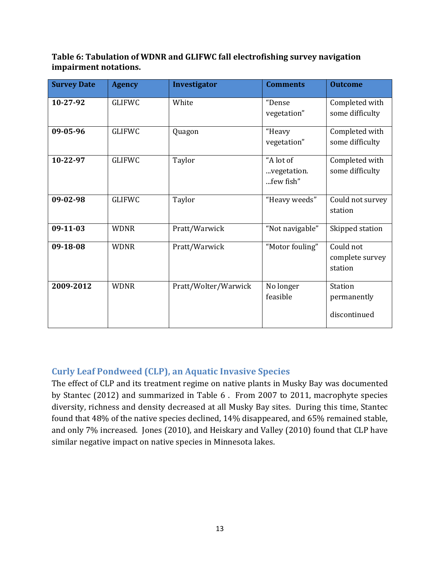<span id="page-12-1"></span>**Table 6: Tabulation of WDNR and GLIFWC fall electrofishing survey navigation impairment notations.**

| <b>Survey Date</b> | <b>Agency</b> | Investigator         | <b>Comments</b>                       | <b>Outcome</b>                                |
|--------------------|---------------|----------------------|---------------------------------------|-----------------------------------------------|
| 10-27-92           | <b>GLIFWC</b> | White                | "Dense<br>vegetation"                 | Completed with<br>some difficulty             |
| 09-05-96           | <b>GLIFWC</b> | Quagon               | "Heavy<br>vegetation"                 | Completed with<br>some difficulty             |
| 10-22-97           | <b>GLIFWC</b> | Taylor               | "A lot of<br>vegetation.<br>few fish" | Completed with<br>some difficulty             |
| 09-02-98           | <b>GLIFWC</b> | Taylor               | "Heavy weeds"                         | Could not survey<br>station                   |
| $09-11-03$         | <b>WDNR</b>   | Pratt/Warwick        | "Not navigable"                       | Skipped station                               |
| 09-18-08           | <b>WDNR</b>   | Pratt/Warwick        | "Motor fouling"                       | Could not<br>complete survey<br>station       |
| 2009-2012          | <b>WDNR</b>   | Pratt/Wolter/Warwick | No longer<br>feasible                 | <b>Station</b><br>permanently<br>discontinued |

## <span id="page-12-0"></span>**Curly Leaf Pondweed (CLP), an Aquatic Invasive Species**

The effect of CLP and its treatment regime on native plants in Musky Bay was documented by Stantec (2012) and summarized in Table 6 . From 2007 to 2011, macrophyte species diversity, richness and density decreased at all Musky Bay sites. During this time, Stantec found that 48% of the native species declined, 14% disappeared, and 65% remained stable, and only 7% increased. Jones (2010), and Heiskary and Valley (2010) found that CLP have similar negative impact on native species in Minnesota lakes.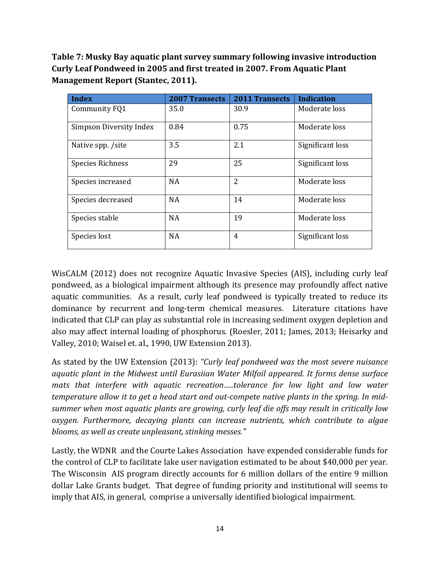<span id="page-13-0"></span>**Table 7: Musky Bay aquatic plant survey summary following invasive introduction Curly Leaf Pondweed in 2005 and first treated in 2007. From Aquatic Plant Management Report (Stantec, 2011).**

| <b>Index</b>            | <b>2007 Transects</b> | <b>2011 Transects</b> | <b>Indication</b> |
|-------------------------|-----------------------|-----------------------|-------------------|
| Community FQ1           | 35.0                  | 30.9                  | Moderate loss     |
| Simpson Diversity Index | 0.84                  | 0.75                  | Moderate loss     |
| Native spp. /site       | 3.5                   | 2.1                   | Significant loss  |
| <b>Species Richness</b> | 29                    | 25                    | Significant loss  |
| Species increased       | <b>NA</b>             | $\overline{2}$        | Moderate loss     |
| Species decreased       | <b>NA</b>             | 14                    | Moderate loss     |
| Species stable          | <b>NA</b>             | 19                    | Moderate loss     |
| Species lost            | <b>NA</b>             | 4                     | Significant loss  |

WisCALM (2012) does not recognize Aquatic Invasive Species (AIS), including curly leaf pondweed, as a biological impairment although its presence may profoundly affect native aquatic communities. As a result, curly leaf pondweed is typically treated to reduce its dominance by recurrent and long-term chemical measures. Literature citations have indicated that CLP can play as substantial role in increasing sediment oxygen depletion and also may affect internal loading of phosphorus. (Roesler, 2011; James, 2013; Heisarky and Valley, 2010; Waisel et. al., 1990, UW Extension 2013).

As stated by the UW Extension (2013): *"Curly leaf pondweed was the most severe nuisance aquatic plant in the Midwest until Eurasiian Water Milfoil appeared. It forms dense surface*  mats that interfere with aquatic recreation.....tolerance for low light and low water *temperature allow it to get a head start and out-compete native plants in the spring. In midsummer when most aquatic plants are growing, curly leaf die offs may result in critically low oxygen. Furthermore, decaying plants can increase nutrients, which contribute to algae blooms, as well as create unpleasant, stinking messes."*

Lastly, the WDNR and the Courte Lakes Association have expended considerable funds for the control of CLP to facilitate lake user navigation estimated to be about \$40,000 per year. The Wisconsin AIS program directly accounts for 6 million dollars of the entire 9 million dollar Lake Grants budget. That degree of funding priority and institutional will seems to imply that AIS, in general, comprise a universally identified biological impairment.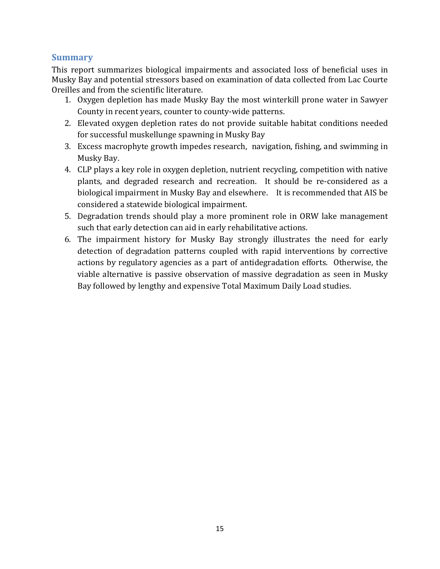## <span id="page-14-0"></span>**Summary**

This report summarizes biological impairments and associated loss of beneficial uses in Musky Bay and potential stressors based on examination of data collected from Lac Courte Oreilles and from the scientific literature.

- 1. Oxygen depletion has made Musky Bay the most winterkill prone water in Sawyer County in recent years, counter to county-wide patterns.
- 2. Elevated oxygen depletion rates do not provide suitable habitat conditions needed for successful muskellunge spawning in Musky Bay
- 3. Excess macrophyte growth impedes research, navigation, fishing, and swimming in Musky Bay.
- 4. CLP plays a key role in oxygen depletion, nutrient recycling, competition with native plants, and degraded research and recreation. It should be re-considered as a biological impairment in Musky Bay and elsewhere. It is recommended that AIS be considered a statewide biological impairment.
- 5. Degradation trends should play a more prominent role in ORW lake management such that early detection can aid in early rehabilitative actions.
- 6. The impairment history for Musky Bay strongly illustrates the need for early detection of degradation patterns coupled with rapid interventions by corrective actions by regulatory agencies as a part of antidegradation efforts. Otherwise, the viable alternative is passive observation of massive degradation as seen in Musky Bay followed by lengthy and expensive Total Maximum Daily Load studies.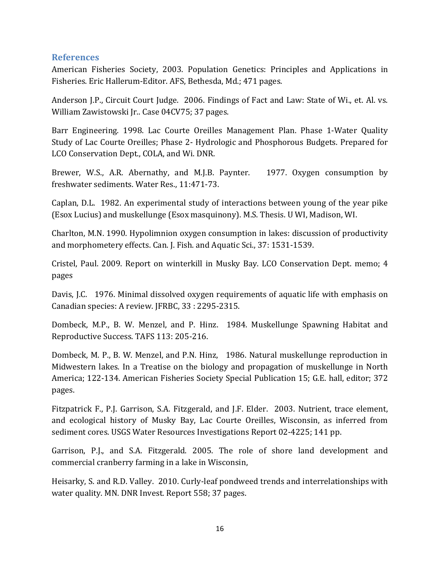#### <span id="page-15-0"></span>**References**

American Fisheries Society, 2003. Population Genetics: Principles and Applications in Fisheries. Eric Hallerum-Editor. AFS, Bethesda, Md.; 471 pages.

Anderson J.P., Circuit Court Judge. 2006. Findings of Fact and Law: State of Wi., et. Al. vs. William Zawistowski Jr.. Case 04CV75; 37 pages.

Barr Engineering. 1998. Lac Courte Oreilles Management Plan. Phase 1-Water Quality Study of Lac Courte Oreilles; Phase 2- Hydrologic and Phosphorous Budgets. Prepared for LCO Conservation Dept., COLA, and Wi. DNR.

Brewer, W.S., A.R. Abernathy, and M.J.B. Paynter. 1977. Oxygen consumption by freshwater sediments. Water Res., 11:471-73.

Caplan, D.L. 1982. An experimental study of interactions between young of the year pike (Esox Lucius) and muskellunge (Esox masquinony). M.S. Thesis. U WI, Madison, WI.

Charlton, M.N. 1990. Hypolimnion oxygen consumption in lakes: discussion of productivity and morphometery effects. Can. J. Fish. and Aquatic Sci., 37: 1531-1539.

Cristel, Paul. 2009. Report on winterkill in Musky Bay. LCO Conservation Dept. memo; 4 pages

Davis, J.C. 1976. Minimal dissolved oxygen requirements of aquatic life with emphasis on Canadian species: A review. JFRBC, 33 : 2295-2315.

Dombeck, M.P., B. W. Menzel, and P. Hinz. 1984. Muskellunge Spawning Habitat and Reproductive Success. TAFS 113: 205-216.

Dombeck, M. P., B. W. Menzel, and P.N. Hinz, 1986. Natural muskellunge reproduction in Midwestern lakes. In a Treatise on the biology and propagation of muskellunge in North America; 122-134. American Fisheries Society Special Publication 15; G.E. hall, editor; 372 pages.

Fitzpatrick F., P.J. Garrison, S.A. Fitzgerald, and J.F. Elder. 2003. Nutrient, trace element, and ecological history of Musky Bay, Lac Courte Oreilles, Wisconsin, as inferred from sediment cores. USGS Water Resources Investigations Report 02-4225; 141 pp.

Garrison, P.J., and S.A. Fitzgerald. 2005. The role of shore land development and commercial cranberry farming in a lake in Wisconsin,

Heisarky, S. and R.D. Valley. 2010. Curly-leaf pondweed trends and interrelationships with water quality. MN. DNR Invest. Report 558; 37 pages.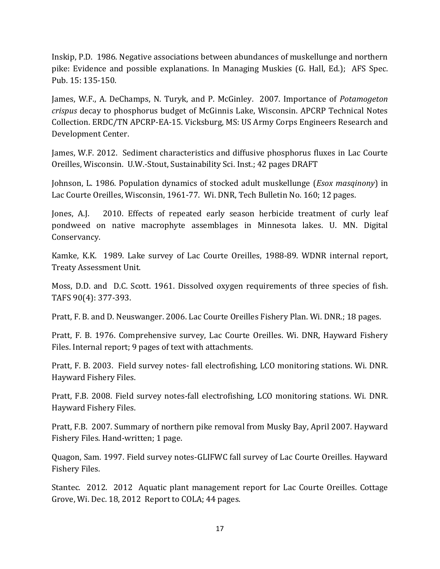Inskip, P.D. 1986. Negative associations between abundances of muskellunge and northern pike: Evidence and possible explanations. In Managing Muskies (G. Hall, Ed.); AFS Spec. Pub. 15: 135-150.

James, W.F., A. DeChamps, N. Turyk, and P. McGinley. 2007. Importance of *Potamogeton crispus* decay to phosphorus budget of McGinnis Lake, Wisconsin. APCRP Technical Notes Collection. ERDC/TN APCRP-EA-15. Vicksburg, MS: US Army Corps Engineers Research and Development Center.

James, W.F. 2012. Sediment characteristics and diffusive phosphorus fluxes in Lac Courte Oreilles, Wisconsin. U.W.-Stout, Sustainability Sci. Inst.; 42 pages DRAFT

Johnson, L. 1986. Population dynamics of stocked adult muskellunge (*Esox masqinony*) in Lac Courte Oreilles, Wisconsin, 1961-77. Wi. DNR, Tech Bulletin No. 160; 12 pages.

Jones, A.J. 2010. Effects of repeated early season herbicide treatment of curly leaf pondweed on native macrophyte assemblages in Minnesota lakes. U. MN. Digital Conservancy.

Kamke, K.K. 1989. Lake survey of Lac Courte Oreilles, 1988-89. WDNR internal report, Treaty Assessment Unit.

Moss, D.D. and D.C. Scott. 1961. Dissolved oxygen requirements of three species of fish. TAFS 90(4): 377-393.

Pratt, F. B. and D. Neuswanger. 2006. Lac Courte Oreilles Fishery Plan. Wi. DNR.; 18 pages.

Pratt, F. B. 1976. Comprehensive survey, Lac Courte Oreilles. Wi. DNR, Hayward Fishery Files. Internal report; 9 pages of text with attachments.

Pratt, F. B. 2003. Field survey notes- fall electrofishing, LCO monitoring stations. Wi. DNR. Hayward Fishery Files.

Pratt, F.B. 2008. Field survey notes-fall electrofishing, LCO monitoring stations. Wi. DNR. Hayward Fishery Files.

Pratt, F.B. 2007. Summary of northern pike removal from Musky Bay, April 2007. Hayward Fishery Files. Hand-written; 1 page.

Quagon, Sam. 1997. Field survey notes-GLIFWC fall survey of Lac Courte Oreilles. Hayward Fishery Files.

Stantec. 2012. 2012 Aquatic plant management report for Lac Courte Oreilles. Cottage Grove, Wi. Dec. 18, 2012 Report to COLA; 44 pages.